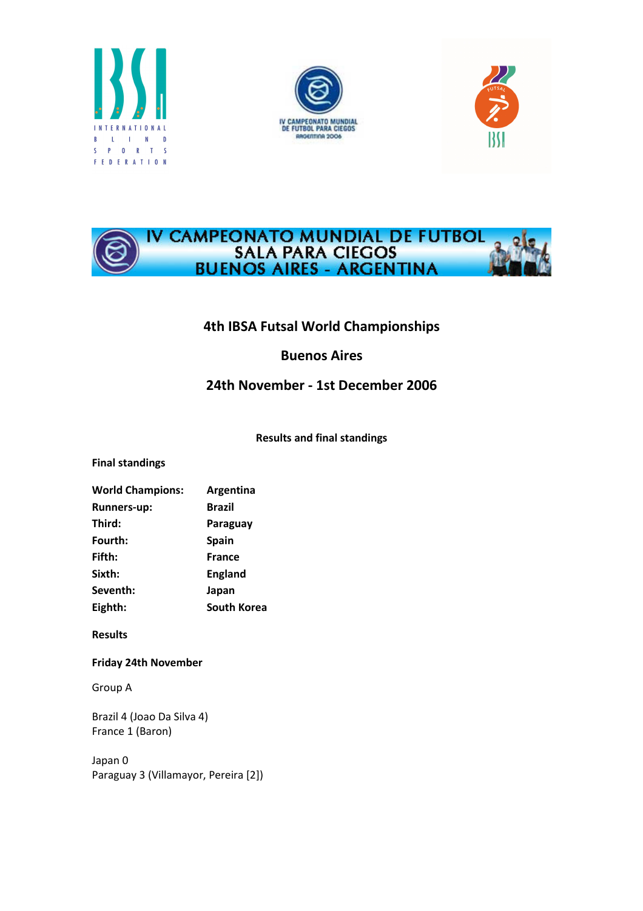







# 4th IBSA Futsal World Championships

## Buenos Aires

# 24th November - 1st December 2006

## Results and final standings

## Final standings

| <b>World Champions:</b> | Argentina          |
|-------------------------|--------------------|
| <b>Runners-up:</b>      | <b>Brazil</b>      |
| Third:                  | Paraguay           |
| Fourth:                 | <b>Spain</b>       |
| Fifth:                  | <b>France</b>      |
| Sixth:                  | <b>England</b>     |
| Seventh:                | Japan              |
| Eighth:                 | <b>South Korea</b> |

## Results

## Friday 24th November

Group A

Brazil 4 (Joao Da Silva 4) France 1 (Baron)

Japan 0 Paraguay 3 (Villamayor, Pereira [2])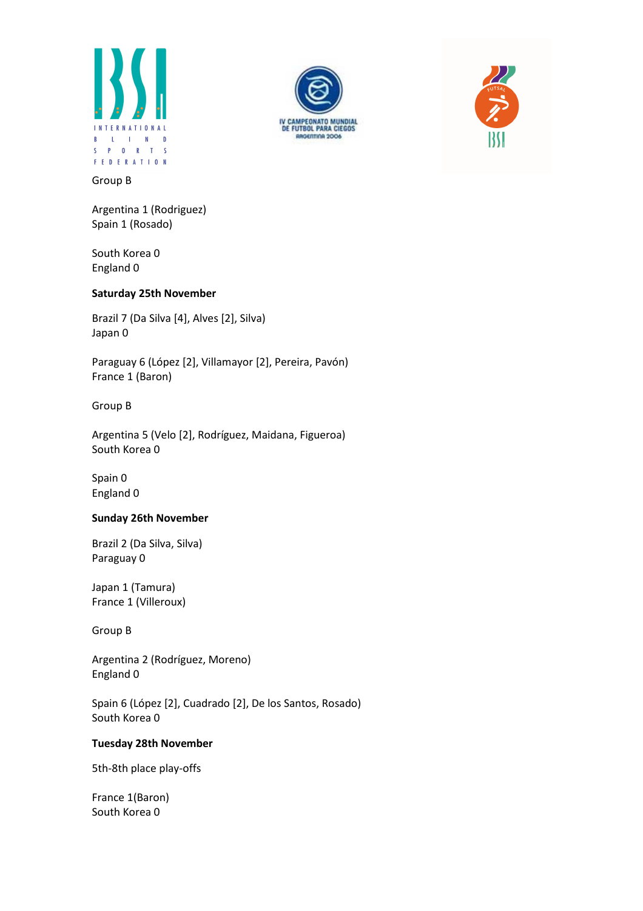





#### Group B

Argentina 1 (Rodriguez) Spain 1 (Rosado)

South Korea 0 England 0

### Saturday 25th November

Brazil 7 (Da Silva [4], Alves [2], Silva) Japan 0

Paraguay 6 (López [2], Villamayor [2], Pereira, Pavón) France 1 (Baron)

Group B

Argentina 5 (Velo [2], Rodríguez, Maidana, Figueroa) South Korea 0

Spain 0 England 0

#### Sunday 26th November

Brazil 2 (Da Silva, Silva) Paraguay 0

Japan 1 (Tamura) France 1 (Villeroux)

Group B

Argentina 2 (Rodríguez, Moreno) England 0

Spain 6 (López [2], Cuadrado [2], De los Santos, Rosado) South Korea 0

## Tuesday 28th November

5th-8th place play-offs

France 1(Baron) South Korea 0